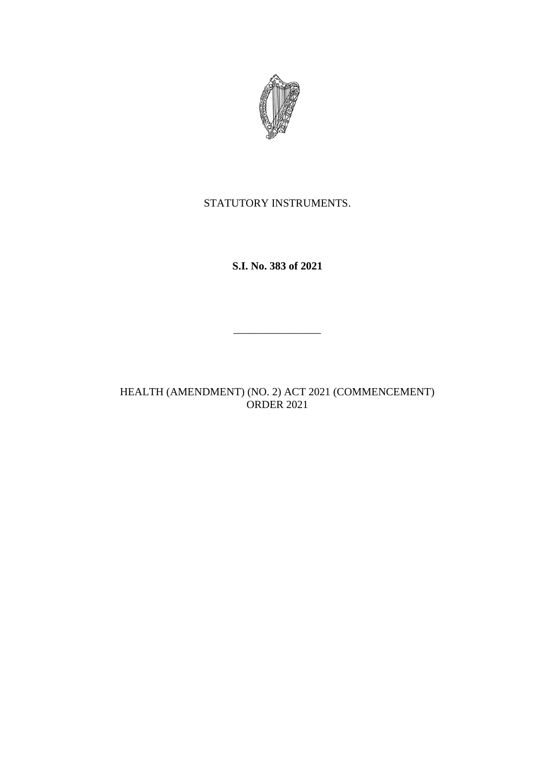

STATUTORY INSTRUMENTS.

**S.I. No. 383 of 2021**

HEALTH (AMENDMENT) (NO. 2) ACT 2021 (COMMENCEMENT) ORDER 2021

 $\frac{1}{2}$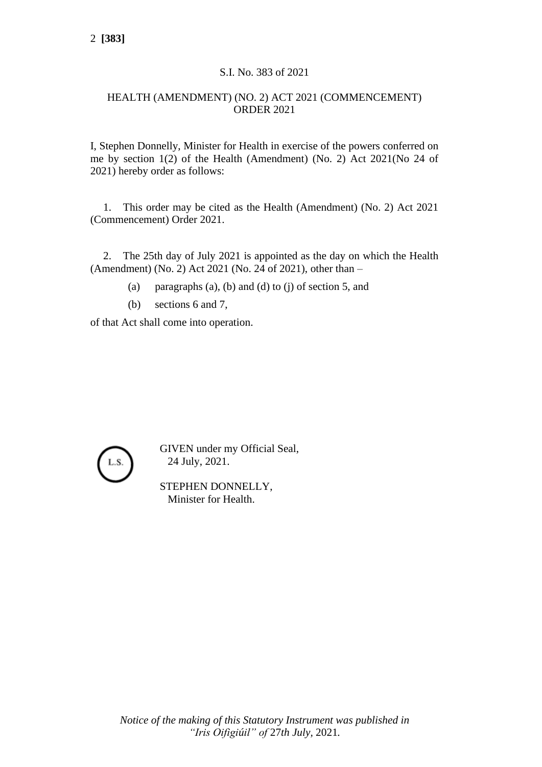## S.I. No. 383 of 2021

## HEALTH (AMENDMENT) (NO. 2) ACT 2021 (COMMENCEMENT) ORDER 2021

I, Stephen Donnelly, Minister for Health in exercise of the powers conferred on me by section 1(2) of the Health (Amendment) (No. 2) Act 2021(No 24 of 2021) hereby order as follows:

1. This order may be cited as the Health (Amendment) (No. 2) Act 2021 (Commencement) Order 2021.

2. The 25th day of July 2021 is appointed as the day on which the Health (Amendment) (No. 2) Act 2021 (No. 24 of 2021), other than –

- (a) paragraphs (a), (b) and (d) to (j) of section 5, and
- (b) sections 6 and 7,

of that Act shall come into operation.



GIVEN under my Official Seal, 24 July, 2021.

STEPHEN DONNELLY, Minister for Health.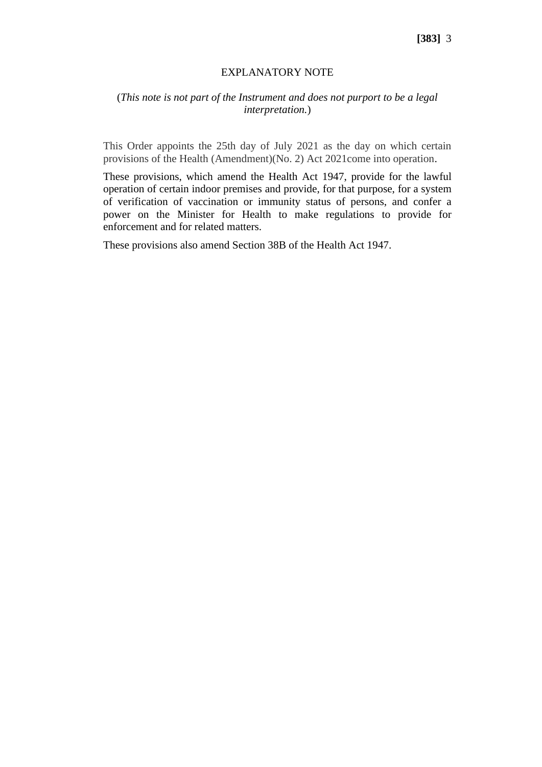## EXPLANATORY NOTE

## (*This note is not part of the Instrument and does not purport to be a legal interpretation.*)

This Order appoints the 25th day of July 2021 as the day on which certain provisions of the Health (Amendment)(No. 2) Act 2021come into operation.

These provisions, which amend the Health Act 1947, provide for the lawful operation of certain indoor premises and provide, for that purpose, for a system of verification of vaccination or immunity status of persons, and confer a power on the Minister for Health to make regulations to provide for enforcement and for related matters.

These provisions also amend Section 38B of the Health Act 1947.